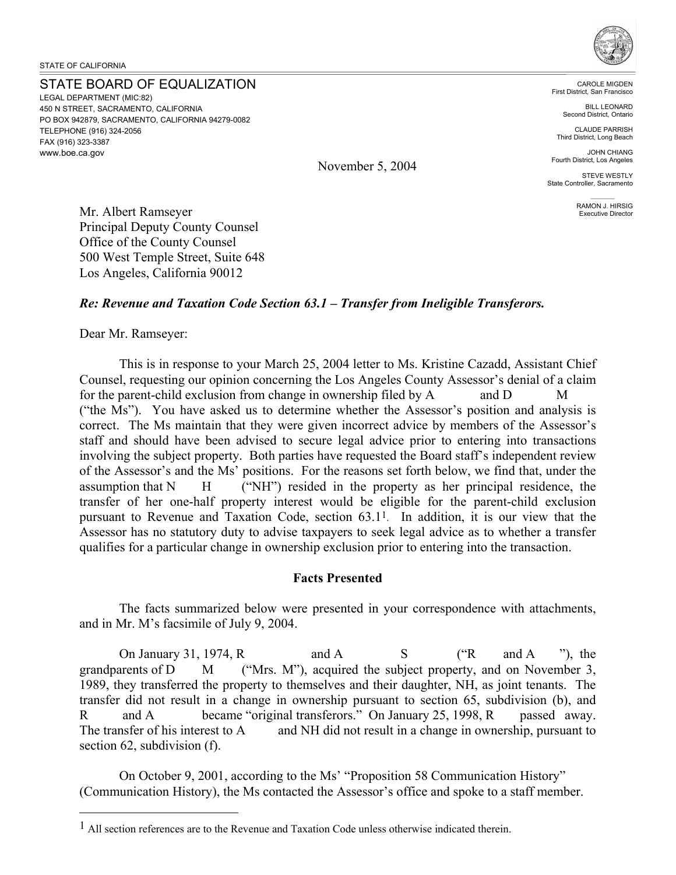#### STATE BOARD OF EQUALIZATION

LEGAL DEPARTMENT (MIC:82) 450 N STREET, SACRAMENTO, CALIFORNIA PO BOX 942879, SACRAMENTO, CALIFORNIA 94279-0082 TELEPHONE (916) 324-2056 FAX (916) 323-3387 <www.boe.ca.gov>



CAROLE MIGDEN First District, San Francisco

> BILL LEONARD Second District, Ontario

CLAUDE PARRISH Third District, Long Beach

JOHN CHIANG Fourth District, Los Angeles

STEVE WESTLY State Controller, Sacramento

> RAMON J. HIRSIG Executive Director

Mr. Albert Ramseyer Principal Deputy County Counsel Office of the County Counsel 500 West Temple Street, Suite 648 Los Angeles, California 90012

#### *Re: Revenue and Taxation Code Section 63.1 – Transfer from Ineligible Transferors.*

November 5, 2004

#### Dear Mr. Ramseyer:

<u>.</u>

This is in response to your March 25, 2004 letter to Ms. Kristine Cazadd, Assistant Chief Counsel, requesting our opinion concerning the Los Angeles County Assessor's denial of a claim for the parent-child exclusion from change in ownership filed by A and D M ("the Ms"). You have asked us to determine whether the Assessor's position and analysis is correct. The Ms maintain that they were given incorrect advice by members of the Assessor's staff and should have been advised to secure legal advice prior to entering into transactions involving the subject property. Both parties have requested the Board staff's independent review of the Assessor's and the Ms' positions. For the reasons set forth below, we find that, under the assumption that  $N$  H ("NH") resided in the property as her principal residence, the transfer of her one-half property interest would be eligible for the parent-child exclusion pursuant to Revenue and Taxation Code, section 63.11. In addition, it is our view that the Assessor has no statutory duty to advise taxpayers to seek legal advice as to whether a transfer qualifies for a particular change in ownership exclusion prior to entering into the transaction.

#### **Facts Presented**

The facts summarized below were presented in your correspondence with attachments, and in Mr. M's facsimile of July 9, 2004.

On January 31, 1974, R and A  $S$  ("R and A "), the grandparents of D M ("Mrs. M"), acquired the subject property, and on November 3, 1989, they transferred the property to themselves and their daughter, NH, as joint tenants. The transfer did not result in a change in ownership pursuant to section 65, subdivision (b), and R and A became "original transferors." On January 25, 1998, R passed away. The transfer of his interest to A and NH did not result in a change in ownership, pursuant to section 62, subdivision (f).

On October 9, 2001, according to the Ms' "Proposition 58 Communication History" (Communication History), the Ms contacted the Assessor's office and spoke to a staff member.

<sup>1</sup> All section references are to the Revenue and Taxation Code unless otherwise indicated therein.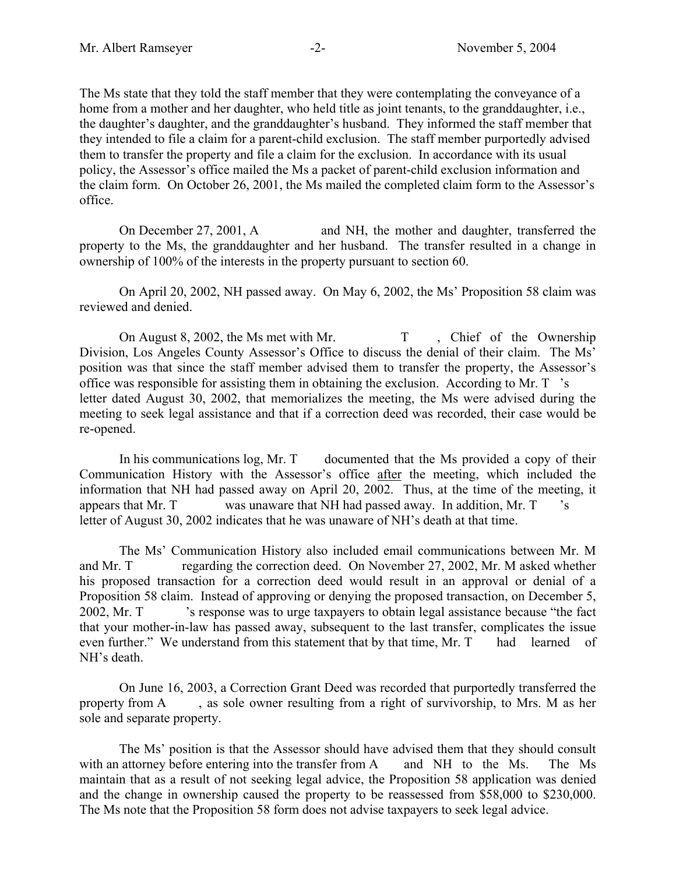The Ms state that they told the staff member that they were contemplating the conveyance of a home from a mother and her daughter, who held title as joint tenants, to the granddaughter, i.e., the daughter's daughter, and the granddaughter's husband. They informed the staff member that they intended to file a claim for a parent-child exclusion. The staff member purportedly advised them to transfer the property and file a claim for the exclusion. In accordance with its usual policy, the Assessor's office mailed the Ms a packet of parent-child exclusion information and the claim form. On October 26, 2001, the Ms mailed the completed claim form to the Assessor's office.

On December 27, 2001, A and NH, the mother and daughter, transferred the property to the Ms, the granddaughter and her husband. The transfer resulted in a change in ownership of 100% of the interests in the property pursuant to section 60.

On April 20, 2002, NH passed away. On May 6, 2002, the Ms' Proposition 58 claim was reviewed and denied.

On August 8, 2002, the Ms met with Mr. T, Chief of the Ownership Division, Los Angeles County Assessor's Office to discuss the denial of their claim. The Ms' position was that since the staff member advised them to transfer the property, the Assessor's office was responsible for assisting them in obtaining the exclusion. According to Mr. T 's letter dated August 30, 2002, that memorializes the meeting, the Ms were advised during the meeting to seek legal assistance and that if a correction deed was recorded, their case would be re-opened.

In his communications log, Mr. T documented that the Ms provided a copy of their Communication History with the Assessor's office after the meeting, which included the information that NH had passed away on April 20, 2002. Thus, at the time of the meeting, it appears that Mr. T was unaware that NH had passed away. In addition, Mr. T 's letter of August 30, 2002 indicates that he was unaware of NH's death at that time.

 2002, Mr. T 's response was to urge taxpayers to obtain legal assistance because "the fact The Ms' Communication History also included email communications between Mr. M and Mr. T regarding the correction deed. On November 27, 2002, Mr. M asked whether his proposed transaction for a correction deed would result in an approval or denial of a Proposition 58 claim. Instead of approving or denying the proposed transaction, on December 5, that your mother-in-law has passed away, subsequent to the last transfer, complicates the issue even further." We understand from this statement that by that time, Mr. T had learned of NH's death.

On June 16, 2003, a Correction Grant Deed was recorded that purportedly transferred the property from A , as sole owner resulting from a right of survivorship, to Mrs. M as her sole and separate property.

with an attorney before entering into the transfer from A and NH to the Ms. The Ms The Ms' position is that the Assessor should have advised them that they should consult maintain that as a result of not seeking legal advice, the Proposition 58 application was denied and the change in ownership caused the property to be reassessed from \$58,000 to \$230,000. The Ms note that the Proposition 58 form does not advise taxpayers to seek legal advice.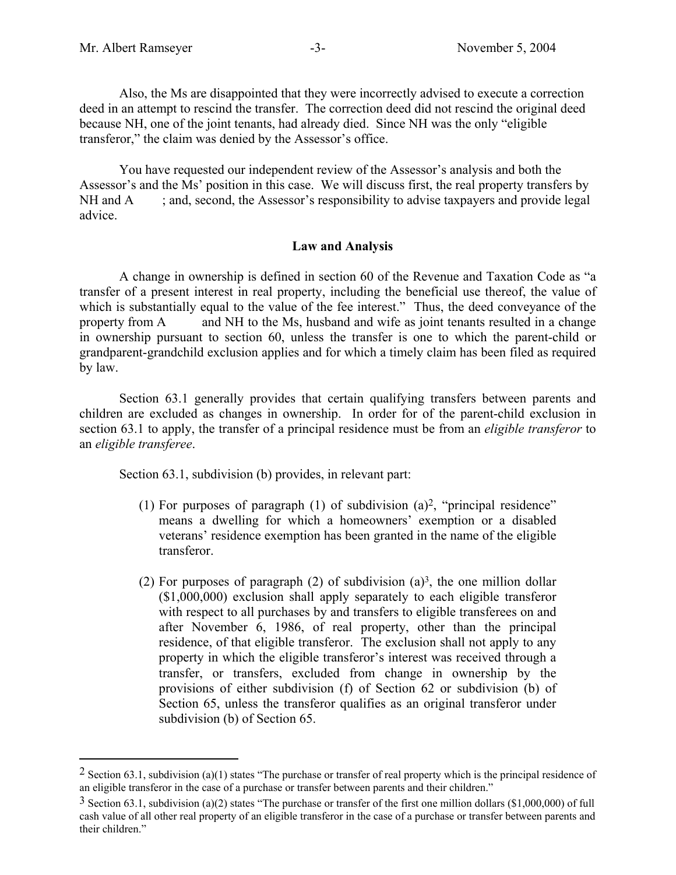$\overline{a}$ 

Also, the Ms are disappointed that they were incorrectly advised to execute a correction deed in an attempt to rescind the transfer. The correction deed did not rescind the original deed because NH, one of the joint tenants, had already died. Since NH was the only "eligible transferor," the claim was denied by the Assessor's office.

You have requested our independent review of the Assessor's analysis and both the Assessor's and the Ms' position in this case. We will discuss first, the real property transfers by  $NH$  and  $A$  ; and, second, the Assessor's responsibility to advise taxpayers and provide legal advice.

### **Law and Analysis**

A change in ownership is defined in section 60 of the Revenue and Taxation Code as "a transfer of a present interest in real property, including the beneficial use thereof, the value of which is substantially equal to the value of the fee interest." Thus, the deed conveyance of the property from A and NH to the Ms, husband and wife as joint tenants resulted in a change in ownership pursuant to section 60, unless the transfer is one to which the parent-child or grandparent-grandchild exclusion applies and for which a timely claim has been filed as required by law.

Section 63.1 generally provides that certain qualifying transfers between parents and children are excluded as changes in ownership. In order for of the parent-child exclusion in section 63.1 to apply, the transfer of a principal residence must be from an *eligible transferor* to an *eligible transferee*.

Section 63.1, subdivision (b) provides, in relevant part:

- (1) For purposes of paragraph (1) of subdivision  $(a)^2$ , "principal residence" means a dwelling for which a homeowners' exemption or a disabled veterans' residence exemption has been granted in the name of the eligible transferor.
- (2) For purposes of paragraph (2) of subdivision (a)<sup>3</sup>, the one million dollar (\$1,000,000) exclusion shall apply separately to each eligible transferor with respect to all purchases by and transfers to eligible transferees on and after November 6, 1986, of real property, other than the principal residence, of that eligible transferor. The exclusion shall not apply to any property in which the eligible transferor's interest was received through a transfer, or transfers, excluded from change in ownership by the provisions of either subdivision (f) of Section 62 or subdivision (b) of Section 65, unless the transferor qualifies as an original transferor under subdivision (b) of Section 65.

<sup>&</sup>lt;sup>2</sup> Section 63.1, subdivision (a)(1) states "The purchase or transfer of real property which is the principal residence of an eligible transferor in the case of a purchase or transfer between parents and their children."

 $3$  Section 63.1, subdivision (a)(2) states "The purchase or transfer of the first one million dollars (\$1,000,000) of full cash value of all other real property of an eligible transferor in the case of a purchase or transfer between parents and their children."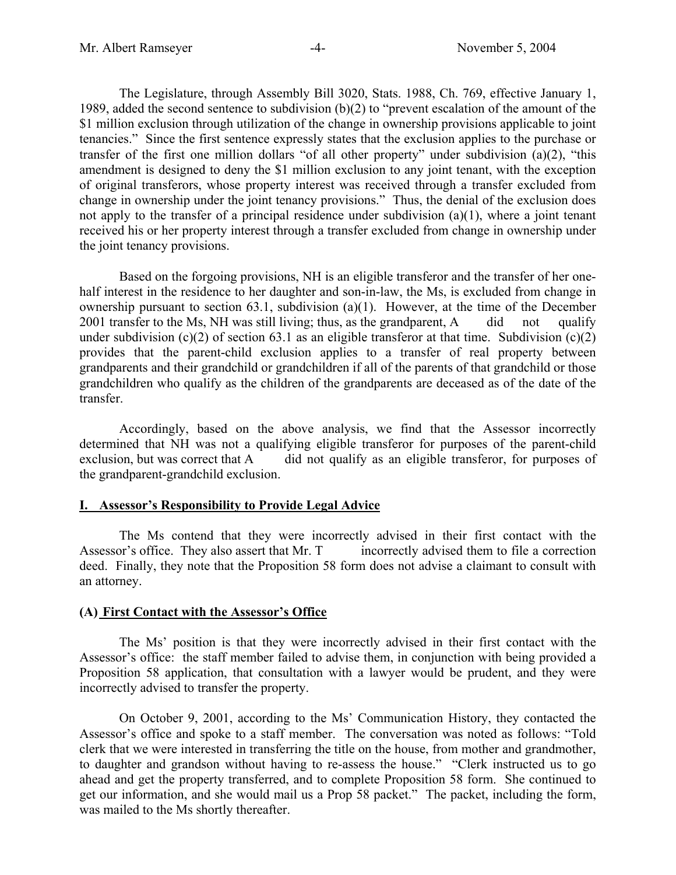The Legislature, through Assembly Bill 3020, Stats. 1988, Ch. 769, effective January 1, 1989, added the second sentence to subdivision (b)(2) to "prevent escalation of the amount of the \$1 million exclusion through utilization of the change in ownership provisions applicable to joint tenancies." Since the first sentence expressly states that the exclusion applies to the purchase or transfer of the first one million dollars "of all other property" under subdivision (a)(2), "this amendment is designed to deny the \$1 million exclusion to any joint tenant, with the exception of original transferors, whose property interest was received through a transfer excluded from change in ownership under the joint tenancy provisions." Thus, the denial of the exclusion does not apply to the transfer of a principal residence under subdivision (a)(1), where a joint tenant received his or her property interest through a transfer excluded from change in ownership under the joint tenancy provisions.

Based on the forgoing provisions, NH is an eligible transferor and the transfer of her onehalf interest in the residence to her daughter and son-in-law, the Ms, is excluded from change in ownership pursuant to section 63.1, subdivision (a)(1). However, at the time of the December 2001 transfer to the Ms, NH was still living; thus, as the grandparent, A did not qualify under subdivision (c)(2) of section 63.1 as an eligible transferor at that time. Subdivision (c)(2) provides that the parent-child exclusion applies to a transfer of real property between grandparents and their grandchild or grandchildren if all of the parents of that grandchild or those grandchildren who qualify as the children of the grandparents are deceased as of the date of the transfer.

Accordingly, based on the above analysis, we find that the Assessor incorrectly determined that NH was not a qualifying eligible transferor for purposes of the parent-child exclusion, but was correct that A did not qualify as an eligible transferor, for purposes of the grandparent-grandchild exclusion.

# **I. Assessor's Responsibility to Provide Legal Advice**

The Ms contend that they were incorrectly advised in their first contact with the Assessor's office. They also assert that Mr. T incorrectly advised them to file a correction deed. Finally, they note that the Proposition 58 form does not advise a claimant to consult with an attorney.

# **(A) First Contact with the Assessor's Office**

The Ms' position is that they were incorrectly advised in their first contact with the Assessor's office: the staff member failed to advise them, in conjunction with being provided a Proposition 58 application, that consultation with a lawyer would be prudent, and they were incorrectly advised to transfer the property.

On October 9, 2001, according to the Ms' Communication History, they contacted the Assessor's office and spoke to a staff member. The conversation was noted as follows: "Told clerk that we were interested in transferring the title on the house, from mother and grandmother, to daughter and grandson without having to re-assess the house." "Clerk instructed us to go ahead and get the property transferred, and to complete Proposition 58 form. She continued to get our information, and she would mail us a Prop 58 packet." The packet, including the form, was mailed to the Ms shortly thereafter.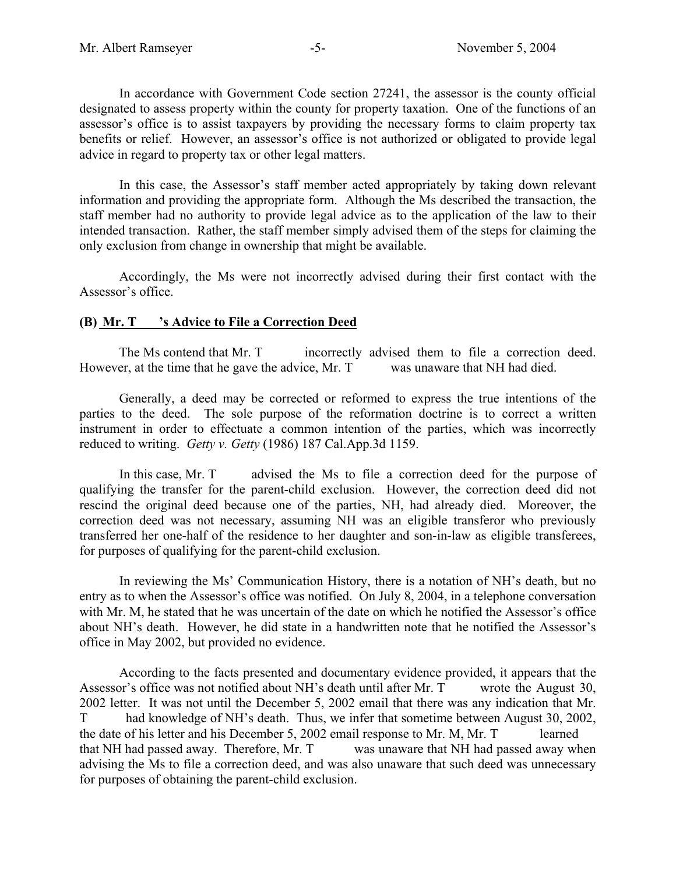In accordance with Government Code section 27241, the assessor is the county official designated to assess property within the county for property taxation. One of the functions of an assessor's office is to assist taxpayers by providing the necessary forms to claim property tax benefits or relief. However, an assessor's office is not authorized or obligated to provide legal advice in regard to property tax or other legal matters.

In this case, the Assessor's staff member acted appropriately by taking down relevant information and providing the appropriate form. Although the Ms described the transaction, the staff member had no authority to provide legal advice as to the application of the law to their intended transaction. Rather, the staff member simply advised them of the steps for claiming the only exclusion from change in ownership that might be available.

Accordingly, the Ms were not incorrectly advised during their first contact with the Assessor's office.

# **(B) Mr. T 's Advice to File a Correction Deed**

The Ms contend that Mr. T incorrectly advised them to file a correction deed. However, at the time that he gave the advice, Mr. T was unaware that NH had died.

Generally, a deed may be corrected or reformed to express the true intentions of the parties to the deed. The sole purpose of the reformation doctrine is to correct a written instrument in order to effectuate a common intention of the parties, which was incorrectly reduced to writing. *Getty v. Getty* (1986) 187 [Cal.App.3d](https://Cal.App.3d) 1159.

In this case, Mr. T advised the Ms to file a correction deed for the purpose of qualifying the transfer for the parent-child exclusion. However, the correction deed did not rescind the original deed because one of the parties, NH, had already died. Moreover, the correction deed was not necessary, assuming NH was an eligible transferor who previously transferred her one-half of the residence to her daughter and son-in-law as eligible transferees, for purposes of qualifying for the parent-child exclusion.

In reviewing the Ms' Communication History, there is a notation of NH's death, but no entry as to when the Assessor's office was notified. On July 8, 2004, in a telephone conversation with Mr. M, he stated that he was uncertain of the date on which he notified the Assessor's office about NH's death. However, he did state in a handwritten note that he notified the Assessor's office in May 2002, but provided no evidence.

According to the facts presented and documentary evidence provided, it appears that the Assessor's office was not notified about NH's death until after Mr. T wrote the August 30, 2002 letter. It was not until the December 5, 2002 email that there was any indication that Mr. T had knowledge of NH's death. Thus, we infer that sometime between August 30, 2002, the date of his letter and his December 5, 2002 email response to Mr. M, Mr. T learned that NH had passed away. Therefore, Mr. T was unaware that NH had passed away when advising the Ms to file a correction deed, and was also unaware that such deed was unnecessary for purposes of obtaining the parent-child exclusion.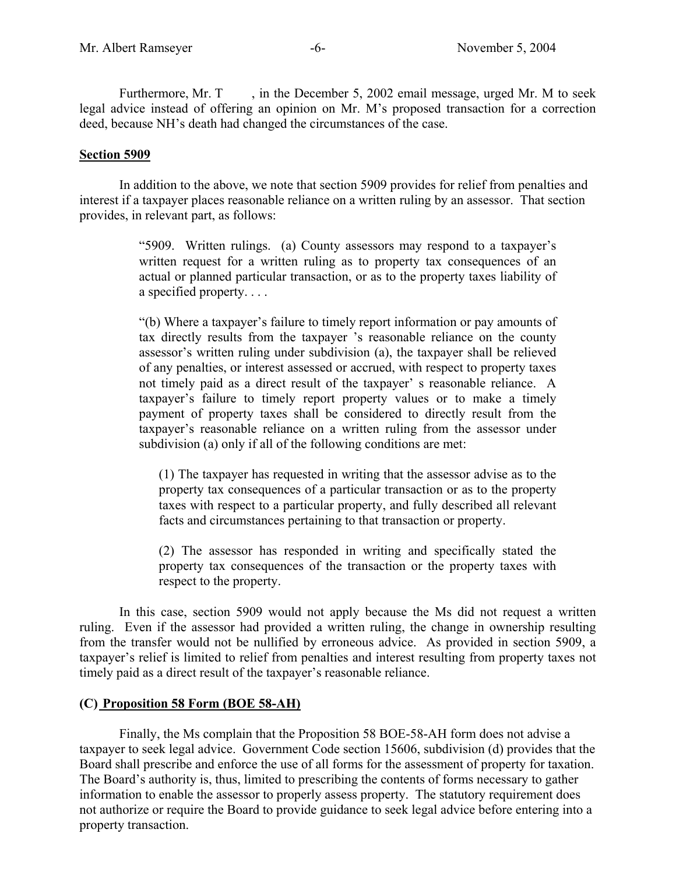Furthermore, Mr. T , in the December 5, 2002 email message, urged Mr. M to seek legal advice instead of offering an opinion on Mr. M's proposed transaction for a correction deed, because NH's death had changed the circumstances of the case.

### **Section 5909**

In addition to the above, we note that section 5909 provides for relief from penalties and interest if a taxpayer places reasonable reliance on a written ruling by an assessor. That section provides, in relevant part, as follows:

> "5909. Written rulings. (a) County assessors may respond to a taxpayer's written request for a written ruling as to property tax consequences of an actual or planned particular transaction, or as to the property taxes liability of a specified property. . . .

> "(b) Where a taxpayer's failure to timely report information or pay amounts of tax directly results from the taxpayer 's reasonable reliance on the county assessor's written ruling under subdivision (a), the taxpayer shall be relieved of any penalties, or interest assessed or accrued, with respect to property taxes not timely paid as a direct result of the taxpayer' s reasonable reliance. A taxpayer's failure to timely report property values or to make a timely payment of property taxes shall be considered to directly result from the taxpayer's reasonable reliance on a written ruling from the assessor under subdivision (a) only if all of the following conditions are met:

(1) The taxpayer has requested in writing that the assessor advise as to the property tax consequences of a particular transaction or as to the property taxes with respect to a particular property, and fully described all relevant facts and circumstances pertaining to that transaction or property.

(2) The assessor has responded in writing and specifically stated the property tax consequences of the transaction or the property taxes with respect to the property.

In this case, section 5909 would not apply because the Ms did not request a written ruling. Even if the assessor had provided a written ruling, the change in ownership resulting from the transfer would not be nullified by erroneous advice. As provided in section 5909, a taxpayer's relief is limited to relief from penalties and interest resulting from property taxes not timely paid as a direct result of the taxpayer's reasonable reliance.

# **(C) Proposition 58 Form (BOE 58-AH)**

Finally, the Ms complain that the Proposition 58 BOE-58-AH form does not advise a taxpayer to seek legal advice. Government Code section 15606, subdivision (d) provides that the Board shall prescribe and enforce the use of all forms for the assessment of property for taxation. The Board's authority is, thus, limited to prescribing the contents of forms necessary to gather information to enable the assessor to properly assess property. The statutory requirement does not authorize or require the Board to provide guidance to seek legal advice before entering into a property transaction.